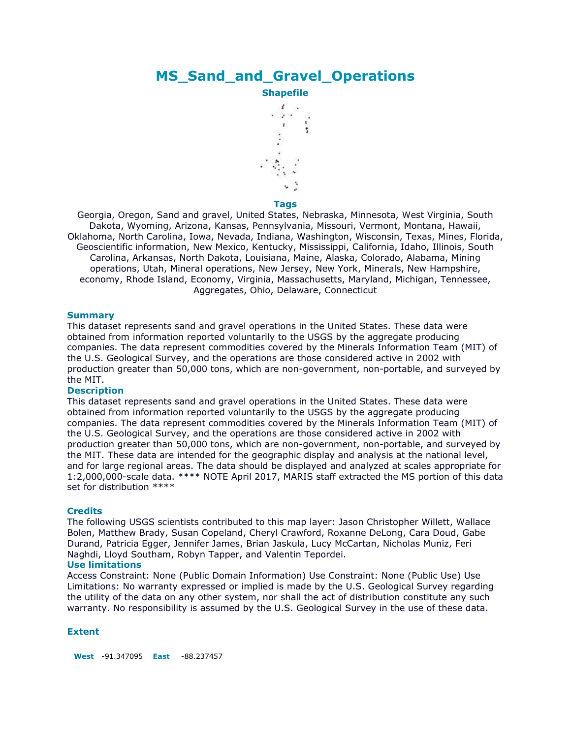# **MS\_Sand\_and\_Gravel\_Operations**



### **Tags**

Georgia, Oregon, Sand and gravel, United States, Nebraska, Minnesota, West Virginia, South Dakota, Wyoming, Arizona, Kansas, Pennsylvania, Missouri, Vermont, Montana, Hawaii, Oklahoma, North Carolina, Iowa, Nevada, Indiana, Washington, Wisconsin, Texas, Mines, Florida, Geoscientific information, New Mexico, Kentucky, Mississippi, California, Idaho, Illinois, South Carolina, Arkansas, North Dakota, Louisiana, Maine, Alaska, Colorado, Alabama, Mining operations, Utah, Mineral operations, New Jersey, New York, Minerals, New Hampshire, economy, Rhode Island, Economy, Virginia, Massachusetts, Maryland, Michigan, Tennessee, Aggregates, Ohio, Delaware, Connecticut

### **Summary**

This dataset represents sand and gravel operations in the United States. These data were obtained from information reported voluntarily to the USGS by the aggregate producing companies. The data represent commodities covered by the Minerals Information Team (MIT) of the U.S. Geological Survey, and the operations are those considered active in 2002 with production greater than 50,000 tons, which are non-government, non-portable, and surveyed by the MIT.

### **Description**

This dataset represents sand and gravel operations in the United States. These data were obtained from information reported voluntarily to the USGS by the aggregate producing companies. The data represent commodities covered by the Minerals Information Team (MIT) of the U.S. Geological Survey, and the operations are those considered active in 2002 with production greater than 50,000 tons, which are non-government, non-portable, and surveyed by the MIT. These data are intended for the geographic display and analysis at the national level, and for large regional areas. The data should be displayed and analyzed at scales appropriate for 1:2,000,000-scale data. \*\*\*\* NOTE April 2017, MARIS staff extracted the MS portion of this data set for distribution \*\*\*\*

### **Credits**

The following USGS scientists contributed to this map layer: Jason Christopher Willett, Wallace Bolen, Matthew Brady, Susan Copeland, Cheryl Crawford, Roxanne DeLong, Cara Doud, Gabe Durand, Patricia Egger, Jennifer James, Brian Jaskula, Lucy McCartan, Nicholas Muniz, Feri Naghdi, Lloyd Southam, Robyn Tapper, and Valentin Tepordei.

### **Use limitations**

Access Constraint: None (Public Domain Information) Use Constraint: None (Public Use) Use Limitations: No warranty expressed or implied is made by the U.S. Geological Survey regarding the utility of the data on any other system, nor shall the act of distribution constitute any such warranty. No responsibility is assumed by the U.S. Geological Survey in the use of these data.

### **Extent**

**West** -91.347095 **East** -88.237457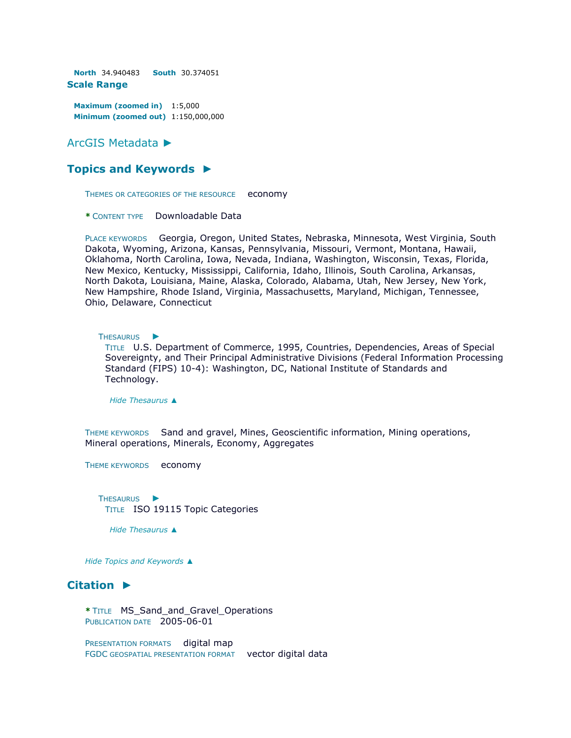**North** 34.940483 **South** 30.374051 **Scale Range**

**Maximum (zoomed in)** 1:5,000 **Minimum (zoomed out)** 1:150,000,000

[ArcGIS Metadata](file:///C:/Users/swalker.IHL/AppData/Local/Temp/tmp90E7.tmp.htm%23arcgisMetadata) ►

## **[Topics and Keywords](file:///C:/Users/swalker.IHL/AppData/Local/Temp/tmp90E7.tmp.htm%23true) ►**

THEMES OR CATEGORIES OF THE RESOURCE eCONOMY

**\*** CONTENT TYPE Downloadable Data

PLACE KEYWORDS Georgia, Oregon, United States, Nebraska, Minnesota, West Virginia, South Dakota, Wyoming, Arizona, Kansas, Pennsylvania, Missouri, Vermont, Montana, Hawaii, Oklahoma, North Carolina, Iowa, Nevada, Indiana, Washington, Wisconsin, Texas, Florida, New Mexico, Kentucky, Mississippi, California, Idaho, Illinois, South Carolina, Arkansas, North Dakota, Louisiana, Maine, Alaska, Colorado, Alabama, Utah, New Jersey, New York, New Hampshire, Rhode Island, Virginia, Massachusetts, Maryland, Michigan, Tennessee, Ohio, Delaware, Connecticut

#### **T[HESAURUS](file:///C:/Users/swalker.IHL/AppData/Local/Temp/tmp90E7.tmp.htm%23ID0EA0TB0NIA)**

TITLE U.S. Department of Commerce, 1995, Countries, Dependencies, Areas of Special Sovereignty, and Their Principal Administrative Divisions (Federal Information Processing Standard (FIPS) 10-4): Washington, DC, National Institute of Standards and Technology.

*Hide [Thesaurus](file:///C:/Users/swalker.IHL/AppData/Local/Temp/tmp90E7.tmp.htm%23ID0EA0TB0NIA) ▲*

THEME KEYWORDS Sand and gravel, Mines, Geoscientific information, Mining operations, Mineral operations, Minerals, Economy, Aggregates

THEME KEYWORDS economy

T[HESAURUS](file:///C:/Users/swalker.IHL/AppData/Local/Temp/tmp90E7.tmp.htm%23ID0EABLIA) ► TITLE ISO 19115 Topic Categories

*Hide [Thesaurus](file:///C:/Users/swalker.IHL/AppData/Local/Temp/tmp90E7.tmp.htm%23ID0EABLIA) ▲*

*Hide [Topics and Keywords](file:///C:/Users/swalker.IHL/AppData/Local/Temp/tmp90E7.tmp.htm%23true) ▲*

## **[Citation](file:///C:/Users/swalker.IHL/AppData/Local/Temp/tmp90E7.tmp.htm%23ID0EUIA) ►**

**\*** TITLE MS\_Sand\_and\_Gravel\_Operations PUBLICATION DATE 2005-06-01

PRESENTATION FORMATS digital map FGDC GEOSPATIAL PRESENTATION FORMAT vector digital data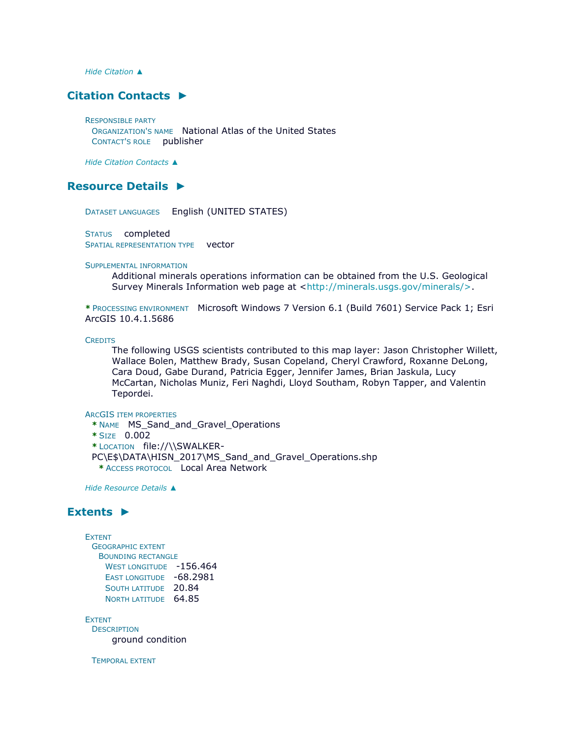*Hide [Citation](file:///C:/Users/swalker.IHL/AppData/Local/Temp/tmp90E7.tmp.htm%23ID0EUIA) ▲*

## **[Citation Contacts](file:///C:/Users/swalker.IHL/AppData/Local/Temp/tmp90E7.tmp.htm%23ID0ECUIA) ►**

RESPONSIBLE PARTY ORGANIZATION'S NAME National Atlas of the United States CONTACT'S ROLE publisher

*Hide [Citation Contacts](file:///C:/Users/swalker.IHL/AppData/Local/Temp/tmp90E7.tmp.htm%23ID0ECUIA) ▲*

## **[Resource Details](file:///C:/Users/swalker.IHL/AppData/Local/Temp/tmp90E7.tmp.htm%23ID0EEBGRA) ►**

DATASET LANGUAGES English (UNITED STATES)

STATUS completed SPATIAL REPRESENTATION TYPE vector

#### SUPPLEMENTAL INFORMATION

Additional minerals operations information can be obtained from the U.S. Geological Survey Minerals Information web page at [<http://minerals.usgs.gov/minerals/>.](http://minerals.usgs.gov/minerals/%3e)

**\*** PROCESSING ENVIRONMENT Microsoft Windows 7 Version 6.1 (Build 7601) Service Pack 1; Esri ArcGIS 10.4.1.5686

**CREDITS** 

The following USGS scientists contributed to this map layer: Jason Christopher Willett, Wallace Bolen, Matthew Brady, Susan Copeland, Cheryl Crawford, Roxanne DeLong, Cara Doud, Gabe Durand, Patricia Egger, Jennifer James, Brian Jaskula, Lucy McCartan, Nicholas Muniz, Feri Naghdi, Lloyd Southam, Robyn Tapper, and Valentin Tepordei.

ARCGIS ITEM PROPERTIES

- **\*** NAME MS\_Sand\_and\_Gravel\_Operations
- **\*** SIZE 0.002
- **\*** LOCATION file://\\SWALKER-
- PC\E\$\DATA\HISN\_2017\MS\_Sand\_and\_Gravel\_Operations.shp
	- **\*** ACCESS PROTOCOL Local Area Network

*Hide [Resource Details](file:///C:/Users/swalker.IHL/AppData/Local/Temp/tmp90E7.tmp.htm%23ID0EEBGRA) ▲*

## **[Extents](file:///C:/Users/swalker.IHL/AppData/Local/Temp/tmp90E7.tmp.htm%23ID0EEDBGRA) ►**

```
EXTENT
 GEOGRAPHIC EXTENT
  BOUNDING RECTANGLE
    WEST LONGITUDE -156.464
    EAST LONGITUDE -68.2981
    SOUTH LATITUDE 20.84 
    NORTH LATITUDE 64.85
```
EXTENT **DESCRIPTION** ground condition

TEMPORAL EXTENT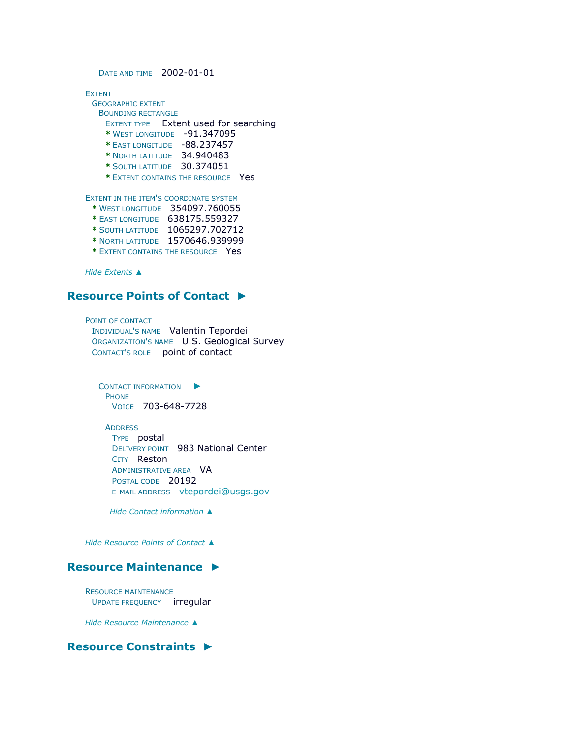```
EXTENT
 GEOGRAPHIC EXTENT
  BOUNDING RECTANGLE
    EXTENT TYPE Extent used for searching 
    * WEST LONGITUDE -91.347095 
    * EAST LONGITUDE -88.237457 
    * NORTH LATITUDE 34.940483 
    * SOUTH LATITUDE 30.374051 
    * EXTENT CONTAINS THE RESOURCE Yes
EXTENT IN THE ITEM'S COORDINATE SYSTEM
 * WEST LONGITUDE 354097.760055 
 * EAST LONGITUDE 638175.559327 
 * SOUTH LATITUDE 1065297.702712 
 * NORTH LATITUDE 1570646.939999 
 * EXTENT CONTAINS THE RESOURCE Yes
Hide Extents ▲
```
DATE AND TIME 2002-01-01

## **[Resource Points of Contact](file:///C:/Users/swalker.IHL/AppData/Local/Temp/tmp90E7.tmp.htm%23ID0EPIA) ►**

```
POINT OF CONTACT
 INDIVIDUAL'S NAME Valentin Tepordei 
 ORGANIZATION'S NAME U.S. Geological Survey 
 CONTACT'S ROLE point of contact
```

```
ONTACT INFORMATION \blacktrianglerightPHONE
   VOICE 703-648-7728
```
**ADDRESS** TYPE postal DELIVERY POINT 983 National Center CITY Reston ADMINISTRATIVE AREA VA POSTAL CODE 20192 E-MAIL ADDRESS [vtepordei@usgs.gov](mailto:vtepordei@usgs.gov?subject=MS_Sand_and_Gravel_Operations)

*Hide [Contact information](file:///C:/Users/swalker.IHL/AppData/Local/Temp/tmp90E7.tmp.htm%23ID0EBPIA) ▲*

*Hide [Resource Points of Contact](file:///C:/Users/swalker.IHL/AppData/Local/Temp/tmp90E7.tmp.htm%23ID0EPIA) ▲*

## **[Resource Maintenance](file:///C:/Users/swalker.IHL/AppData/Local/Temp/tmp90E7.tmp.htm%23ID0EOIA) ►**

RESOURCE MAINTENANCE UPDATE FREQUENCY irregular

*Hide [Resource Maintenance](file:///C:/Users/swalker.IHL/AppData/Local/Temp/tmp90E7.tmp.htm%23ID0EOIA) ▲*

## **[Resource Constraints](file:///C:/Users/swalker.IHL/AppData/Local/Temp/tmp90E7.tmp.htm%23ID0EJIA) ►**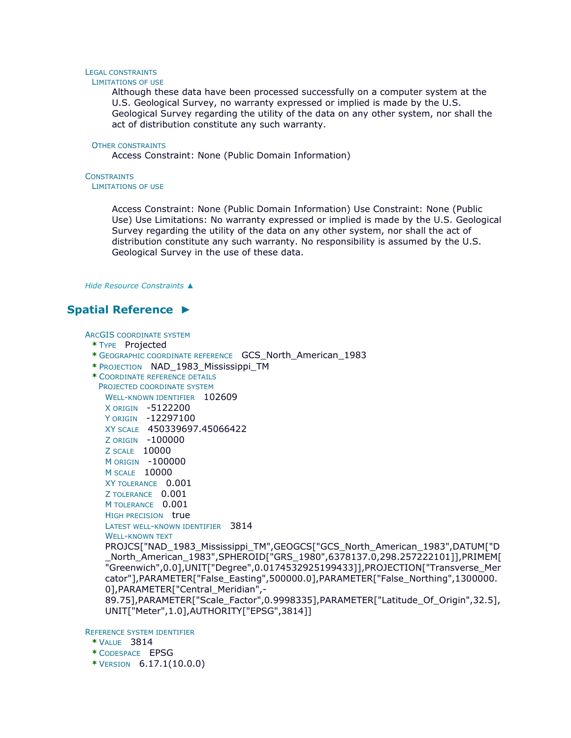## LEGAL CONSTRAINTS

### LIMITATIONS OF USE

Although these data have been processed successfully on a computer system at the U.S. Geological Survey, no warranty expressed or implied is made by the U.S. Geological Survey regarding the utility of the data on any other system, nor shall the act of distribution constitute any such warranty.

#### OTHER CONSTRAINTS

Access Constraint: None (Public Domain Information)

**CONSTRAINTS** LIMITATIONS OF USE

> Access Constraint: None (Public Domain Information) Use Constraint: None (Public Use) Use Limitations: No warranty expressed or implied is made by the U.S. Geological Survey regarding the utility of the data on any other system, nor shall the act of distribution constitute any such warranty. No responsibility is assumed by the U.S. Geological Survey in the use of these data.

*Hide [Resource Constraints](file:///C:/Users/swalker.IHL/AppData/Local/Temp/tmp90E7.tmp.htm%23ID0EJIA) ▲*

## **[Spatial Reference](file:///C:/Users/swalker.IHL/AppData/Local/Temp/tmp90E7.tmp.htm%23ID0EEAGRA) ►**

ARCGIS COORDINATE SYSTEM

- **\*** TYPE Projected
- **\*** GEOGRAPHIC COORDINATE REFERENCE GCS\_North\_American\_1983
- **\*** PROJECTION NAD\_1983\_Mississippi\_TM
- **\*** COORDINATE REFERENCE DETAILS

PROJECTED COORDINATE SYSTEM WELL-KNOWN IDENTIFIER 102609

```
X ORIGIN -5122200 
Y ORIGIN -12297100
```
XY SCALE 450339697.45066422

Z ORIGIN -100000

Z SCALE 10000

```
M ORIGIN -100000
```
M SCALE 10000

```
XY TOLERANCE 0.001
```
Z TOLERANCE 0.001

```
M TOLERANCE 0.001
```
HIGH PRECISION true

```
LATEST WELL-KNOWN IDENTIFIER 3814 
WELL-KNOWN TEXT
```
PROJCS["NAD\_1983\_Mississippi\_TM",GEOGCS["GCS\_North\_American\_1983",DATUM["D \_North\_American\_1983",SPHEROID["GRS\_1980",6378137.0,298.257222101]],PRIMEM[ "Greenwich",0.0],UNIT["Degree",0.0174532925199433]],PROJECTION["Transverse\_Mer cator"],PARAMETER["False\_Easting",500000.0],PARAMETER["False\_Northing",1300000. 0],PARAMETER["Central\_Meridian",-

89.75],PARAMETER["Scale\_Factor",0.9998335],PARAMETER["Latitude\_Of\_Origin",32.5], UNIT["Meter",1.0],AUTHORITY["EPSG",3814]]

REFERENCE SYSTEM IDENTIFIER

- **\*** VALUE 3814
- **\*** CODESPACE EPSG
- **\*** VERSION 6.17.1(10.0.0)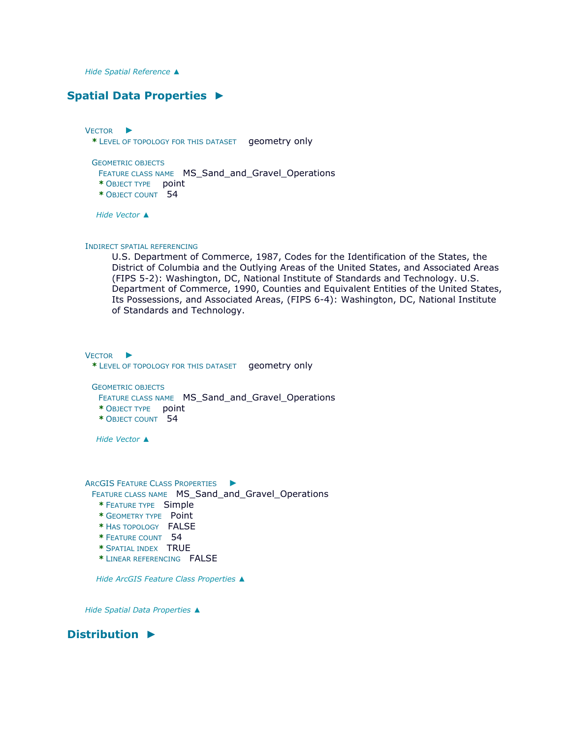*Hide [Spatial Reference](file:///C:/Users/swalker.IHL/AppData/Local/Temp/tmp90E7.tmp.htm%23ID0EEAGRA) ▲*

## **[Spatial Data Properties](file:///C:/Users/swalker.IHL/AppData/Local/Temp/tmp90E7.tmp.htm%23ID0EAGA) ►**

V[ECTOR](file:///C:/Users/swalker.IHL/AppData/Local/Temp/tmp90E7.tmp.htm%23ID0EBAGA) ► **\*** LEVEL OF TOPOLOGY FOR THIS DATASET geometry only

GEOMETRIC OBJECTS FEATURE CLASS NAME MS\_Sand\_and\_Gravel\_Operations **\*** OBJECT TYPE point **\*** OBJECT COUNT 54

*Hide [Vector](file:///C:/Users/swalker.IHL/AppData/Local/Temp/tmp90E7.tmp.htm%23ID0EBAGA) ▲*

INDIRECT SPATIAL REFERENCING

U.S. Department of Commerce, 1987, Codes for the Identification of the States, the District of Columbia and the Outlying Areas of the United States, and Associated Areas (FIPS 5-2): Washington, DC, National Institute of Standards and Technology. U.S. Department of Commerce, 1990, Counties and Equivalent Entities of the United States, Its Possessions, and Associated Areas, (FIPS 6-4): Washington, DC, National Institute of Standards and Technology.

V[ECTOR](file:///C:/Users/swalker.IHL/AppData/Local/Temp/tmp90E7.tmp.htm%23ID0EBAFA) ► **\*** LEVEL OF TOPOLOGY FOR THIS DATASET geometry only GEOMETRIC OBJECTS

FEATURE CLASS NAME MS\_Sand\_and\_Gravel\_Operations

- **\*** OBJECT TYPE point
- **\*** OBJECT COUNT 54

*Hide [Vector](file:///C:/Users/swalker.IHL/AppData/Local/Temp/tmp90E7.tmp.htm%23ID0EBAFA) ▲*

ARCGIS FEATURE CLASS P[ROPERTIES](file:///C:/Users/swalker.IHL/AppData/Local/Temp/tmp90E7.tmp.htm%23ID0EA) ► FEATURE CLASS NAME MS\_Sand\_and\_Gravel\_Operations

- **\*** FEATURE TYPE Simple
- **\*** GEOMETRY TYPE Point
- **\*** HAS TOPOLOGY FALSE
- **\*** FEATURE COUNT 54
- **\*** SPATIAL INDEX TRUE
- **\*** LINEAR REFERENCING FALSE

*Hide [ArcGIS Feature Class Properties](file:///C:/Users/swalker.IHL/AppData/Local/Temp/tmp90E7.tmp.htm%23ID0EA) ▲*

*Hide [Spatial Data Properties](file:///C:/Users/swalker.IHL/AppData/Local/Temp/tmp90E7.tmp.htm%23ID0EAGA) ▲*

**[Distribution](file:///C:/Users/swalker.IHL/AppData/Local/Temp/tmp90E7.tmp.htm%23ID0EJA) ►**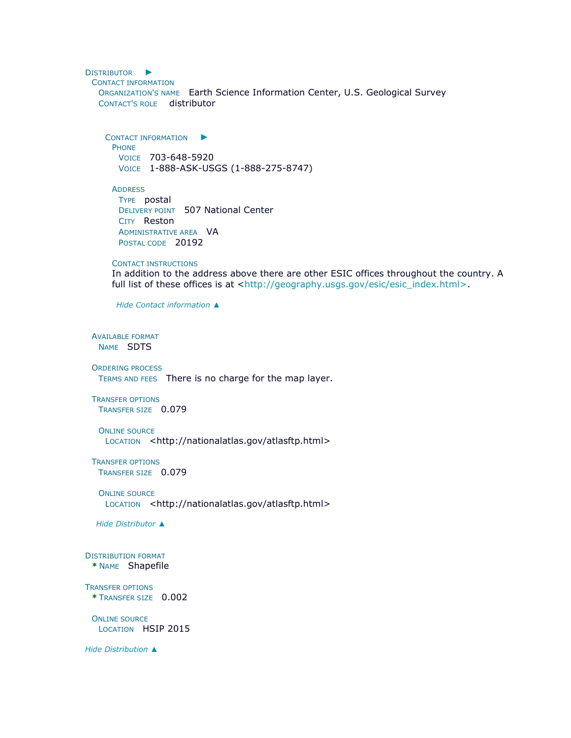D[ISTRIBUTOR](file:///C:/Users/swalker.IHL/AppData/Local/Temp/tmp90E7.tmp.htm%23ID0EECJA)  $\blacktriangleright$ CONTACT INFORMATION ORGANIZATION'S NAME Earth Science Information Center, U.S. Geological Survey CONTACT'S ROLE distributor C[ONTACT INFORMATION](file:///C:/Users/swalker.IHL/AppData/Local/Temp/tmp90E7.tmp.htm%23ID0EBECJA)  $\blacktriangleright$ PHONE VOICE 703-648-5920 VOICE 1-888-ASK-USGS (1-888-275-8747) **ADDRESS** TYPE postal DELIVERY POINT 507 National Center CITY Reston ADMINISTRATIVE AREA VA POSTAL CODE 20192 CONTACT INSTRUCTIONS In addition to the address above there are other ESIC offices throughout the country. A full list of these offices is at [<http://geography.usgs.gov/esic/esic\\_index.html>.](http://geography.usgs.gov/esic/esic_index.html%3e) *Hide [Contact information](file:///C:/Users/swalker.IHL/AppData/Local/Temp/tmp90E7.tmp.htm%23ID0EBECJA) ▲* AVAILABLE FORMAT NAME SDTS ORDERING PROCESS TERMS AND FEES There is no charge for the map layer. TRANSFER OPTIONS TRANSFER SIZE 0.079 ONLINE SOURCE LOCATION <http://nationalatlas.gov/atlasftp.html> TRANSFER OPTIONS TRANSFER SIZE 0.079 ONLINE SOURCE LOCATION <http://nationalatlas.gov/atlasftp.html> *Hide [Distributor](file:///C:/Users/swalker.IHL/AppData/Local/Temp/tmp90E7.tmp.htm%23ID0EECJA) ▲* DISTRIBUTION FORMAT **\*** NAME Shapefile TRANSFER OPTIONS **\*** TRANSFER SIZE 0.002 ONLINE SOURCE LOCATION HSIP 2015 *Hide [Distribution](file:///C:/Users/swalker.IHL/AppData/Local/Temp/tmp90E7.tmp.htm%23ID0EJA) ▲*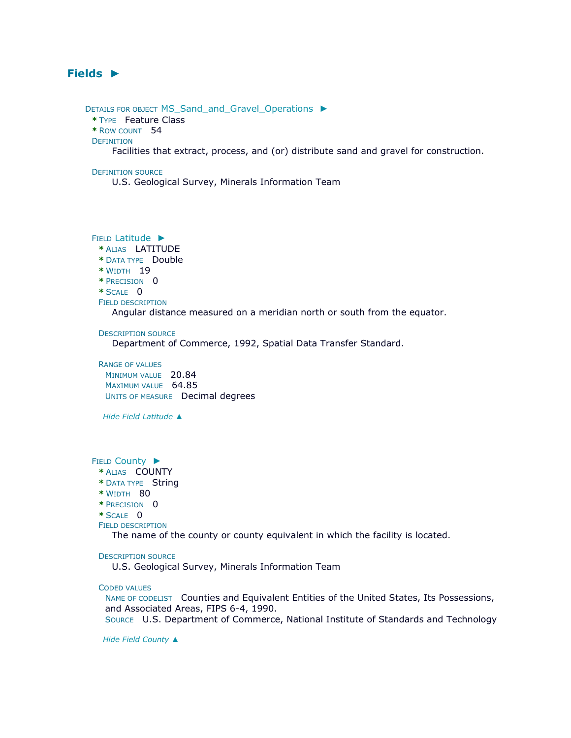## **[Fields](file:///C:/Users/swalker.IHL/AppData/Local/Temp/tmp90E7.tmp.htm%23ID0EEA) ►**

DETAILS FOR OBJECT [MS\\_Sand\\_and\\_Gravel\\_Operations](file:///C:/Users/swalker.IHL/AppData/Local/Temp/tmp90E7.tmp.htm%23ID0EAEA) ► **\*** TYPE Feature Class **\*** ROW COUNT 54 **DEFINITION** 

Facilities that extract, process, and (or) distribute sand and gravel for construction.

#### DEFINITION SOURCE

U.S. Geological Survey, Minerals Information Team

FIELD [Latitude](file:///C:/Users/swalker.IHL/AppData/Local/Temp/tmp90E7.tmp.htm%23ID0ENAEA) ►

- **\*** ALIAS LATITUDE
- **\*** DATA TYPE Double
- **\*** WIDTH 19
- **\*** PRECISION 0
- **\*** SCALE 0
- FIELD DESCRIPTION

Angular distance measured on a meridian north or south from the equator.

#### DESCRIPTION SOURCE

Department of Commerce, 1992, Spatial Data Transfer Standard.

### RANGE OF VALUES

MINIMUM VALUE 20.84 MAXIMUM VALUE 64.85 UNITS OF MEASURE Decimal degrees

*Hide Field [Latitude](file:///C:/Users/swalker.IHL/AppData/Local/Temp/tmp90E7.tmp.htm%23ID0ENAEA) ▲*

### FIELD [County](file:///C:/Users/swalker.IHL/AppData/Local/Temp/tmp90E7.tmp.htm%23ID0EMAEA) ►

- **\*** ALIAS COUNTY
- **\*** DATA TYPE String
- **\*** WIDTH 80
- **\*** PRECISION 0
- $*$  SCALE  $\Omega$

#### FIELD DESCRIPTION

The name of the county or county equivalent in which the facility is located.

#### DESCRIPTION SOURCE

U.S. Geological Survey, Minerals Information Team

#### CODED VALUES

NAME OF CODELIST Counties and Equivalent Entities of the United States, Its Possessions, and Associated Areas, FIPS 6-4, 1990.

SOURCE U.S. Department of Commerce, National Institute of Standards and Technology

*Hide Field [County](file:///C:/Users/swalker.IHL/AppData/Local/Temp/tmp90E7.tmp.htm%23ID0EMAEA) ▲*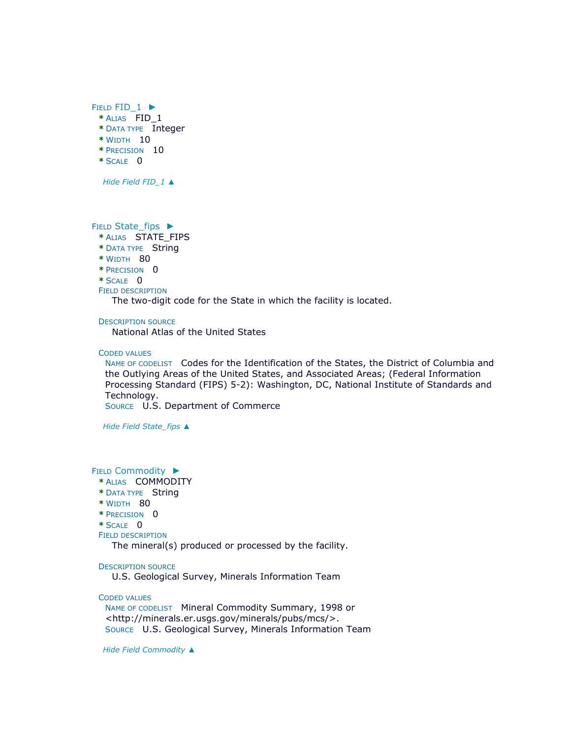### FIELD [FID\\_1](file:///C:/Users/swalker.IHL/AppData/Local/Temp/tmp90E7.tmp.htm%23ID0ELAEA) ► **\*** ALIAS FID\_1 **\*** DATA TYPE Integer **\*** WIDTH 10

- **\*** PRECISION 10
- $*$  SCALE  $\overline{0}$
- 

*Hide Field [FID\\_1](file:///C:/Users/swalker.IHL/AppData/Local/Temp/tmp90E7.tmp.htm%23ID0ELAEA) ▲*

FIELD [State\\_fips](file:///C:/Users/swalker.IHL/AppData/Local/Temp/tmp90E7.tmp.htm%23ID0EKAEA) ►

- **\*** ALIAS STATE\_FIPS
- **\*** DATA TYPE String
- **\*** WIDTH 80
- **\*** PRECISION 0
- **\*** SCALE 0
- FIELD DESCRIPTION

The two-digit code for the State in which the facility is located.

DESCRIPTION SOURCE

National Atlas of the United States

### CODED VALUES

NAME OF CODELIST Codes for the Identification of the States, the District of Columbia and the Outlying Areas of the United States, and Associated Areas; (Federal Information Processing Standard (FIPS) 5-2): Washington, DC, National Institute of Standards and Technology.

SOURCE U.S. Department of Commerce

*Hide Field [State\\_fips](file:///C:/Users/swalker.IHL/AppData/Local/Temp/tmp90E7.tmp.htm%23ID0EKAEA) ▲*

### FIELD [Commodity](file:///C:/Users/swalker.IHL/AppData/Local/Temp/tmp90E7.tmp.htm%23ID0EJAEA) ►

- **\*** ALIAS COMMODITY
- **\*** DATA TYPE String
- **\*** WIDTH 80
- **\*** PRECISION 0
- **\*** SCALE 0
- FIELD DESCRIPTION

The mineral(s) produced or processed by the facility.

#### DESCRIPTION SOURCE

U.S. Geological Survey, Minerals Information Team

#### CODED VALUES

NAME OF CODELIST Mineral Commodity Summary, 1998 or <http://minerals.er.usgs.gov/minerals/pubs/mcs/>. SOURCE U.S. Geological Survey, Minerals Information Team

*Hide Field [Commodity](file:///C:/Users/swalker.IHL/AppData/Local/Temp/tmp90E7.tmp.htm%23ID0EJAEA) ▲*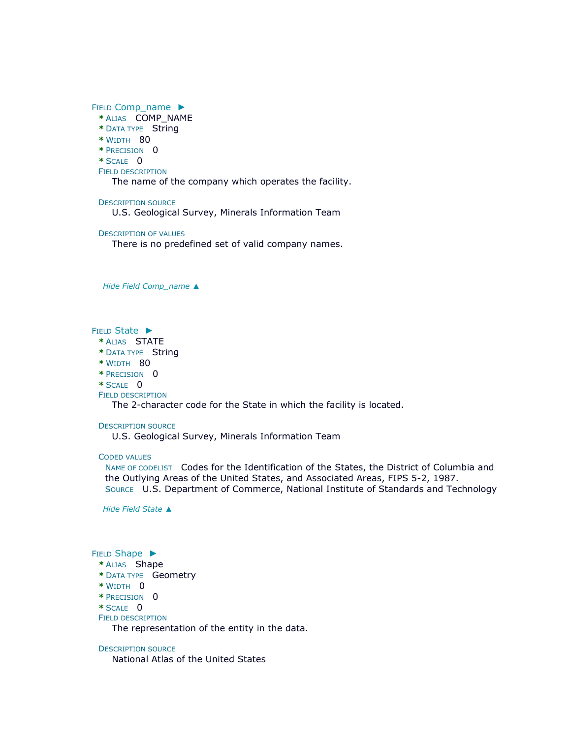### FIELD [Comp\\_name](file:///C:/Users/swalker.IHL/AppData/Local/Temp/tmp90E7.tmp.htm%23ID0EIAEA) ▶

- **\*** ALIAS COMP\_NAME
- **\*** DATA TYPE String
- **\*** WIDTH 80
- **\*** PRECISION 0
- $*$  SCALE  $\overline{0}$
- FIELD DESCRIPTION

The name of the company which operates the facility.

#### DESCRIPTION SOURCE

U.S. Geological Survey, Minerals Information Team

#### DESCRIPTION OF VALUES

There is no predefined set of valid company names.

*Hide Field [Comp\\_name](file:///C:/Users/swalker.IHL/AppData/Local/Temp/tmp90E7.tmp.htm%23ID0EIAEA) ▲*

### FIELD [State](file:///C:/Users/swalker.IHL/AppData/Local/Temp/tmp90E7.tmp.htm%23ID0EHAEA) ►

- **\*** ALIAS STATE
- **\*** DATA TYPE String
- **\*** WIDTH 80
- **\*** PRECISION 0

### **\*** SCALE 0

FIELD DESCRIPTION

The 2-character code for the State in which the facility is located.

#### DESCRIPTION SOURCE

U.S. Geological Survey, Minerals Information Team

### CODED VALUES

NAME OF CODELIST Codes for the Identification of the States, the District of Columbia and the Outlying Areas of the United States, and Associated Areas, FIPS 5-2, 1987. SOURCE U.S. Department of Commerce, National Institute of Standards and Technology

*Hide Field [State](file:///C:/Users/swalker.IHL/AppData/Local/Temp/tmp90E7.tmp.htm%23ID0EHAEA) ▲*

### FIELD [Shape](file:///C:/Users/swalker.IHL/AppData/Local/Temp/tmp90E7.tmp.htm%23ID0EGAEA) ►

- **\*** ALIAS Shape
- **\*** DATA TYPE Geometry
- **\*** WIDTH 0
- **\*** PRECISION 0
- **\*** SCALE 0
- FIELD DESCRIPTION

The representation of the entity in the data.

#### DESCRIPTION SOURCE

National Atlas of the United States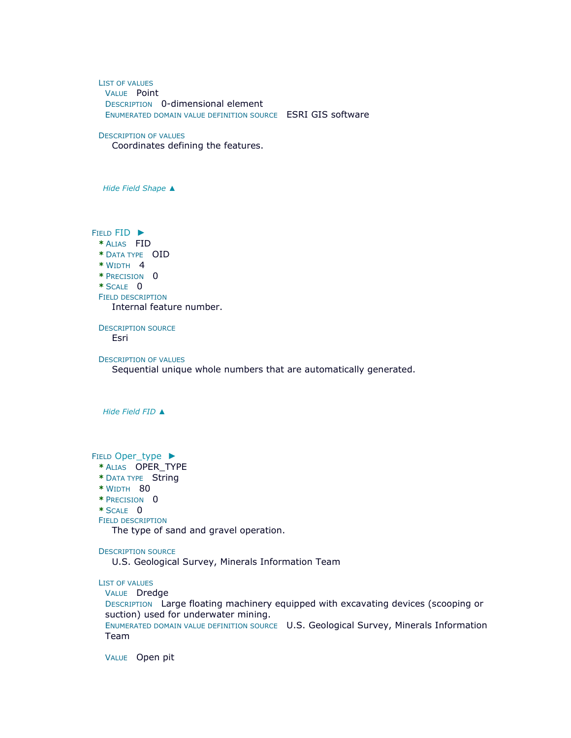### LIST OF VALUES VALUE Point DESCRIPTION 0-dimensional element ENUMERATED DOMAIN VALUE DEFINITION SOURCE ESRI GIS software

#### DESCRIPTION OF VALUES

Coordinates defining the features.

*Hide Field [Shape](file:///C:/Users/swalker.IHL/AppData/Local/Temp/tmp90E7.tmp.htm%23ID0EGAEA) ▲*

FIELD [FID](file:///C:/Users/swalker.IHL/AppData/Local/Temp/tmp90E7.tmp.htm%23ID0EFAEA) ►

- **\*** ALIAS FID
- **\*** DATA TYPE OID
- **\*** WIDTH 4
- **\*** PRECISION 0
- **\*** SCALE 0
- FIELD DESCRIPTION

Internal feature number.

DESCRIPTION SOURCE Esri

DESCRIPTION OF VALUES

Sequential unique whole numbers that are automatically generated.

*Hide [Field](file:///C:/Users/swalker.IHL/AppData/Local/Temp/tmp90E7.tmp.htm%23ID0EFAEA) FID ▲*

FIELD [Oper\\_type](file:///C:/Users/swalker.IHL/AppData/Local/Temp/tmp90E7.tmp.htm%23ID0EEAEA) ►

- **\*** ALIAS OPER\_TYPE
- **\*** DATA TYPE String
- **\*** WIDTH 80
- **\*** PRECISION 0
- **\*** SCALE 0
- FIELD DESCRIPTION

The type of sand and gravel operation.

#### DESCRIPTION SOURCE

U.S. Geological Survey, Minerals Information Team

LIST OF VALUES

VALUE Dredge

DESCRIPTION Large floating machinery equipped with excavating devices (scooping or suction) used for underwater mining.

ENUMERATED DOMAIN VALUE DEFINITION SOURCE U.S. Geological Survey, Minerals Information Team

VALUE Open pit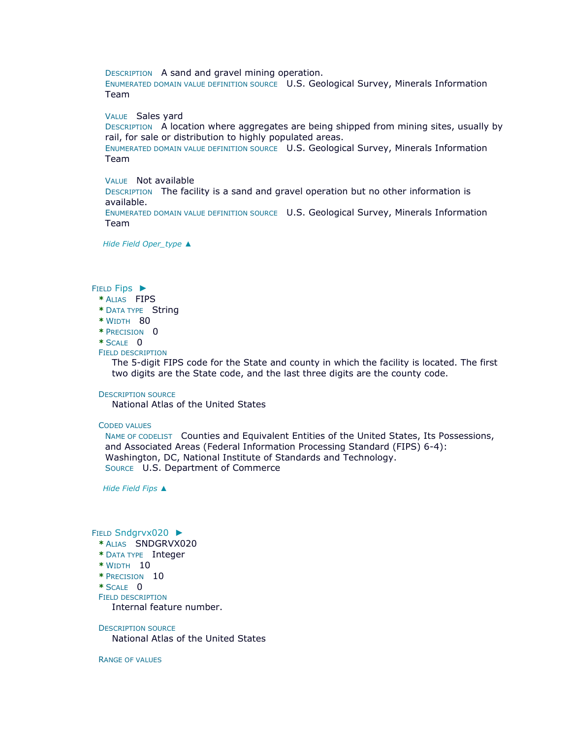DESCRIPTION A sand and gravel mining operation.

ENUMERATED DOMAIN VALUE DEFINITION SOURCE U.S. Geological Survey, Minerals Information Team

VALUE Sales yard

DESCRIPTION A location where aggregates are being shipped from mining sites, usually by rail, for sale or distribution to highly populated areas.

ENUMERATED DOMAIN VALUE DEFINITION SOURCE U.S. Geological Survey, Minerals Information Team

VALUE Not available

DESCRIPTION The facility is a sand and gravel operation but no other information is available.

ENUMERATED DOMAIN VALUE DEFINITION SOURCE U.S. Geological Survey, Minerals Information Team

*Hide Field [Oper\\_type](file:///C:/Users/swalker.IHL/AppData/Local/Temp/tmp90E7.tmp.htm%23ID0EEAEA) ▲*

### FIELD [Fips](file:///C:/Users/swalker.IHL/AppData/Local/Temp/tmp90E7.tmp.htm%23ID0EDAEA) ►

- **\*** ALIAS FIPS
- **\*** DATA TYPE String
- **\*** WIDTH 80
- **\*** PRECISION 0
- **\*** SCALE 0
- FIELD DESCRIPTION

The 5-digit FIPS code for the State and county in which the facility is located. The first two digits are the State code, and the last three digits are the county code.

### DESCRIPTION SOURCE

National Atlas of the United States

### CODED VALUES

NAME OF CODELIST Counties and Equivalent Entities of the United States, Its Possessions, and Associated Areas (Federal Information Processing Standard (FIPS) 6-4): Washington, DC, National Institute of Standards and Technology. SOURCE U.S. Department of Commerce

*Hide [Field](file:///C:/Users/swalker.IHL/AppData/Local/Temp/tmp90E7.tmp.htm%23ID0EDAEA) Fips ▲*

### FIELD [Sndgrvx020](file:///C:/Users/swalker.IHL/AppData/Local/Temp/tmp90E7.tmp.htm%23ID0ECAEA) ►

- **\*** ALIAS SNDGRVX020
- **\*** DATA TYPE Integer
- **\*** WIDTH 10
- **\*** PRECISION 10
- $*$  SCALE  $\theta$
- FIELD DESCRIPTION

Internal feature number.

### DESCRIPTION SOURCE

National Atlas of the United States

RANGE OF VALUES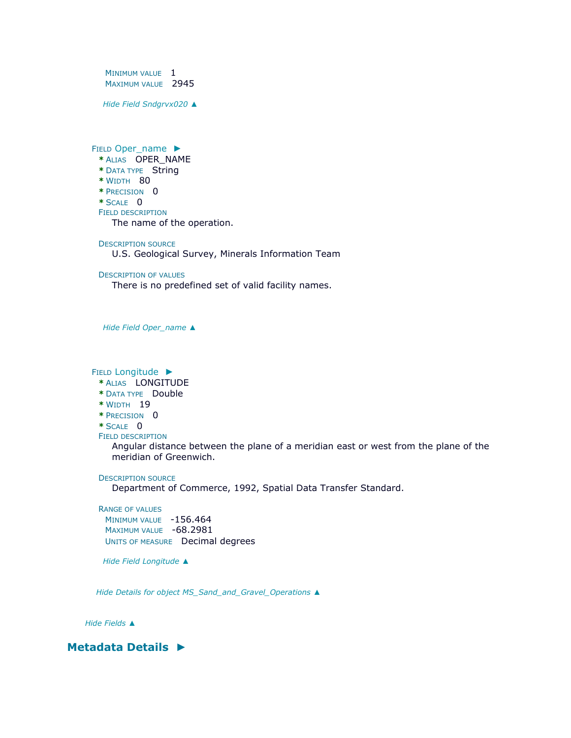MINIMUM VALUE 1 MAXIMUM VALUE 2945

*Hide Field [Sndgrvx020](file:///C:/Users/swalker.IHL/AppData/Local/Temp/tmp90E7.tmp.htm%23ID0ECAEA) ▲*

FIELD [Oper\\_name](file:///C:/Users/swalker.IHL/AppData/Local/Temp/tmp90E7.tmp.htm%23ID0EBAEA) ▶

- **\*** ALIAS OPER\_NAME
- **\*** DATA TYPE String
- **\*** WIDTH 80
- **\*** PRECISION 0
- **\*** SCALE 0
- FIELD DESCRIPTION

The name of the operation.

DESCRIPTION SOURCE

U.S. Geological Survey, Minerals Information Team

DESCRIPTION OF VALUES

There is no predefined set of valid facility names.

*Hide Field [Oper\\_name](file:///C:/Users/swalker.IHL/AppData/Local/Temp/tmp90E7.tmp.htm%23ID0EBAEA) ▲*

FIELD [Longitude](file:///C:/Users/swalker.IHL/AppData/Local/Temp/tmp90E7.tmp.htm%23ID0EAAEA) ►

- **\*** ALIAS LONGITUDE
- **\*** DATA TYPE Double
- **\*** WIDTH 19
- **\*** PRECISION 0
- **\*** SCALE 0
- FIELD DESCRIPTION

Angular distance between the plane of a meridian east or west from the plane of the meridian of Greenwich.

DESCRIPTION SOURCE

Department of Commerce, 1992, Spatial Data Transfer Standard.

RANGE OF VALUES MINIMUM VALUE -156.464 MAXIMUM VALUE -68.2981 UNITS OF MEASURE Decimal degrees

*Hide Field [Longitude](file:///C:/Users/swalker.IHL/AppData/Local/Temp/tmp90E7.tmp.htm%23ID0EAAEA) ▲*

*Hide Details for object [MS\\_Sand\\_and\\_Gravel\\_Operations](file:///C:/Users/swalker.IHL/AppData/Local/Temp/tmp90E7.tmp.htm%23ID0EAEA) ▲*

*Hide [Fields](file:///C:/Users/swalker.IHL/AppData/Local/Temp/tmp90E7.tmp.htm%23ID0EEA) ▲*

**[Metadata Details](file:///C:/Users/swalker.IHL/AppData/Local/Temp/tmp90E7.tmp.htm%23ID0TALRA) ►**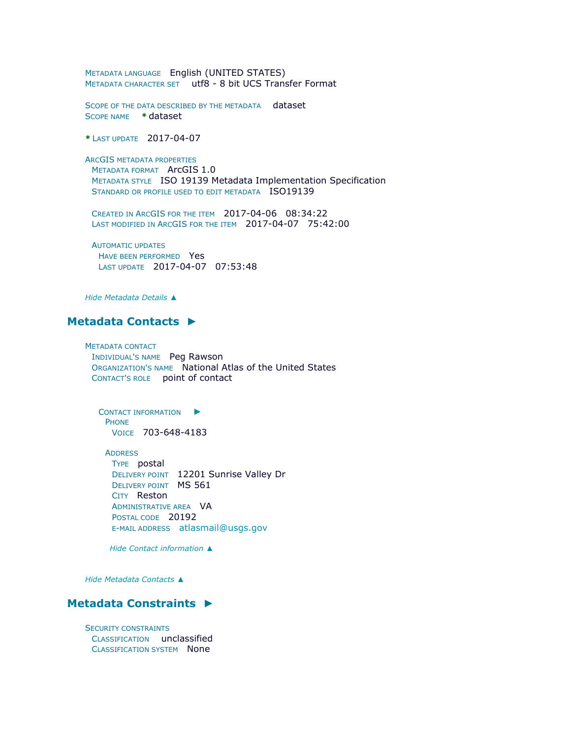```
METADATA LANGUAGE English (UNITED STATES) 
METADATA CHARACTER SET utf8 - 8 bit UCS Transfer Format
```

```
SCOPE OF THE DATA DESCRIBED BY THE METADATA dataset
SCOPE NAME * dataset
```
**\*** LAST UPDATE 2017-04-07

ARCGIS METADATA PROPERTIES METADATA FORMAT ArcGIS 1.0 METADATA STYLE ISO 19139 Metadata Implementation Specification STANDARD OR PROFILE USED TO EDIT METADATA ISO19139

CREATED IN ARCGIS FOR THE ITEM 2017-04-06 08:34:22 LAST MODIFIED IN ARCGIS FOR THE ITEM 2017-04-07 75:42:00

AUTOMATIC UPDATES HAVE BEEN PERFORMED Yes LAST UPDATE 2017-04-07 07:53:48

*Hide [Metadata Details](file:///C:/Users/swalker.IHL/AppData/Local/Temp/tmp90E7.tmp.htm%23ID0TALRA) ▲*

## **[Metadata Contacts](file:///C:/Users/swalker.IHL/AppData/Local/Temp/tmp90E7.tmp.htm%23ID0ENA) ►**

METADATA CONTACT INDIVIDUAL'S NAME Peg Rawson ORGANIZATION'S NAME National Atlas of the United States CONTACT'S ROLE point of contact

C[ONTACT INFORMATION](file:///C:/Users/swalker.IHL/AppData/Local/Temp/tmp90E7.tmp.htm%23ID0EBNA)  $\blacktriangleright$ PHONE VOICE 703-648-4183

**ADDRESS** TYPE postal DELIVERY POINT 12201 Sunrise Valley Dr DELIVERY POINT MS 561 CITY Reston ADMINISTRATIVE AREA VA POSTAL CODE 20192 E-MAIL ADDRESS [atlasmail@usgs.gov](mailto:atlasmail@usgs.gov?subject=MS_Sand_and_Gravel_Operations)

*Hide [Contact information](file:///C:/Users/swalker.IHL/AppData/Local/Temp/tmp90E7.tmp.htm%23ID0EBNA) ▲*

*Hide [Metadata Contacts](file:///C:/Users/swalker.IHL/AppData/Local/Temp/tmp90E7.tmp.htm%23ID0ENA) ▲*

### **[Metadata Constraints](file:///C:/Users/swalker.IHL/AppData/Local/Temp/tmp90E7.tmp.htm%23ID0EHA) ►**

SECURITY CONSTRAINTS CLASSIFICATION unclassified CLASSIFICATION SYSTEM None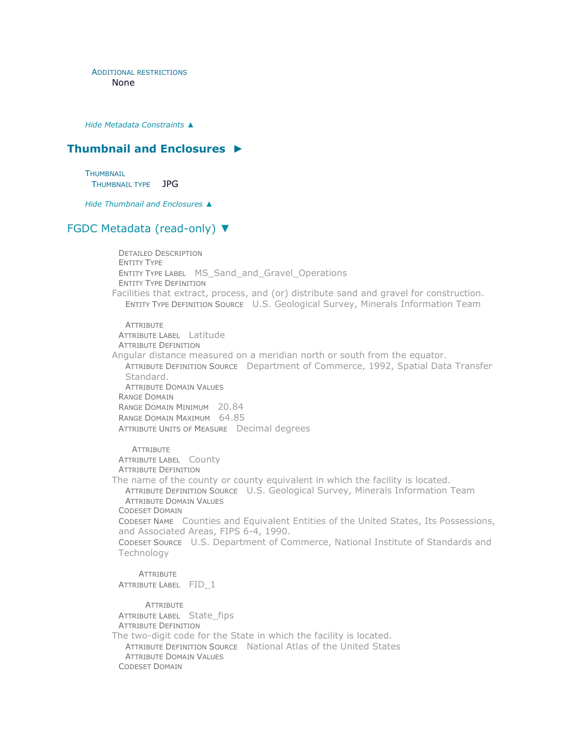ADDITIONAL RESTRICTIONS None

*Hide [Metadata Constraints](file:///C:/Users/swalker.IHL/AppData/Local/Temp/tmp90E7.tmp.htm%23ID0EHA) ▲*

## **[Thumbnail and Enclosures](file:///C:/Users/swalker.IHL/AppData/Local/Temp/tmp90E7.tmp.htm%23ID0EAA) ►**

**THUMBNAIL** THUMBNAIL TYPE JPG

*Hide [Thumbnail and Enclosures](file:///C:/Users/swalker.IHL/AppData/Local/Temp/tmp90E7.tmp.htm%23ID0EAA) ▲*

## [FGDC Metadata \(read-only\)](file:///C:/Users/swalker.IHL/AppData/Local/Temp/tmp90E7.tmp.htm%23fgdcMetadata) ▼

DETAILED DESCRIPTION ENTITY TYPE ENTITY TYPE LABEL MS Sand and Gravel Operations ENTITY TYPE DEFINITION Facilities that extract, process, and (or) distribute sand and gravel for construction. ENTITY TYPE DEFINITION SOURCE U.S. Geological Survey, Minerals Information Team

**ATTRIBUTE** ATTRIBUTE LABEL Latitude ATTRIBUTE DEFINITION Angular distance measured on a meridian north or south from the equator. ATTRIBUTE DEFINITION SOURCE Department of Commerce, 1992, Spatial Data Transfer Standard. ATTRIBUTE DOMAIN VALUES RANGE DOMAIN RANGE DOMAIN MINIMUM 20.84 RANGE DOMAIN MAXIMUM 64.85 ATTRIBUTE UNITS OF MEASURE Decimal degrees **ATTRIBUTE** 

ATTRIBUTE LABEL County ATTRIBUTE DEFINITION The name of the county or county equivalent in which the facility is located. ATTRIBUTE DEFINITION SOURCE U.S. Geological Survey, Minerals Information Team ATTRIBUTE DOMAIN VALUES CODESET DOMAIN CODESET NAME Counties and Equivalent Entities of the United States, Its Possessions, and Associated Areas, FIPS 6-4, 1990. CODESET SOURCE U.S. Department of Commerce, National Institute of Standards and Technology

**ATTRIBUTE** ATTRIBUTE LABEL FID\_1

**ATTRIBUTE** ATTRIBUTE LABEL State\_fips ATTRIBUTE DEFINITION The two-digit code for the State in which the facility is located. ATTRIBUTE DEFINITION SOURCE National Atlas of the United States ATTRIBUTE DOMAIN VALUES CODESET DOMAIN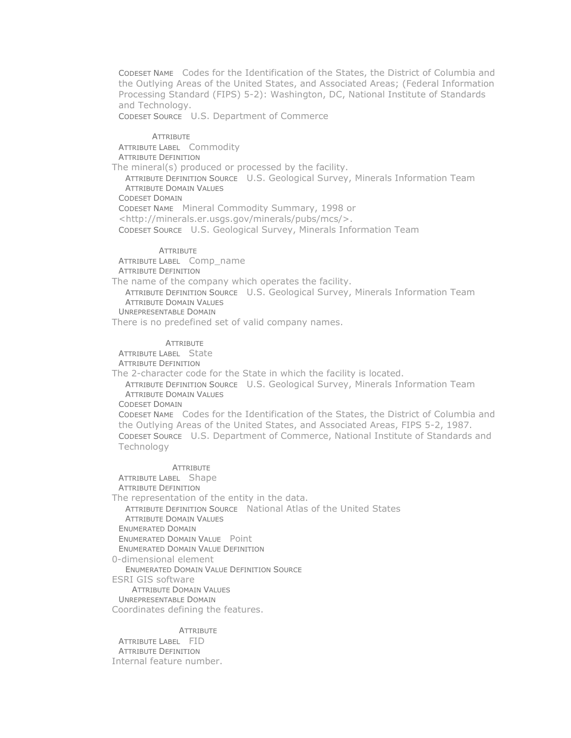CODESET NAME Codes for the Identification of the States, the District of Columbia and the Outlying Areas of the United States, and Associated Areas; (Federal Information Processing Standard (FIPS) 5-2): Washington, DC, National Institute of Standards and Technology.

CODESET SOURCE U.S. Department of Commerce

#### **ATTRIBUTE**

ATTRIBUTE LABEL Commodity ATTRIBUTE DEFINITION The mineral(s) produced or processed by the facility. ATTRIBUTE DEFINITION SOURCE U.S. Geological Survey, Minerals Information Team ATTRIBUTE DOMAIN VALUES CODESET DOMAIN CODESET NAME Mineral Commodity Summary, 1998 or <http://minerals.er.usgs.gov/minerals/pubs/mcs/>. CODESET SOURCE U.S. Geological Survey, Minerals Information Team

### **ATTRIBUTE**

ATTRIBUTE LABEL Comp\_name ATTRIBUTE DEFINITION The name of the company which operates the facility. ATTRIBUTE DEFINITION SOURCE U.S. Geological Survey, Minerals Information Team ATTRIBUTE DOMAIN VALUES UNREPRESENTABLE DOMAIN There is no predefined set of valid company names.

### **ATTRIBUTE**

ATTRIBUTE LABEL State ATTRIBUTE DEFINITION

The 2-character code for the State in which the facility is located.

ATTRIBUTE DEFINITION SOURCE U.S. Geological Survey, Minerals Information Team ATTRIBUTE DOMAIN VALUES

CODESET DOMAIN

CODESET NAME Codes for the Identification of the States, the District of Columbia and the Outlying Areas of the United States, and Associated Areas, FIPS 5-2, 1987. CODESET SOURCE U.S. Department of Commerce, National Institute of Standards and Technology

### **ATTRIBUTE**

ATTRIBUTE LABEL Shape ATTRIBUTE DEFINITION The representation of the entity in the data. ATTRIBUTE DEFINITION SOURCE National Atlas of the United States ATTRIBUTE DOMAIN VALUES ENUMERATED DOMAIN ENUMERATED DOMAIN VALUE Point ENUMERATED DOMAIN VALUE DEFINITION 0-dimensional element ENUMERATED DOMAIN VALUE DEFINITION SOURCE ESRI GIS software ATTRIBUTE DOMAIN VALUES UNREPRESENTABLE DOMAIN

Coordinates defining the features.

### **ATTRIBUTE**

ATTRIBUTE LABEL FID ATTRIBUTE DEFINITION Internal feature number.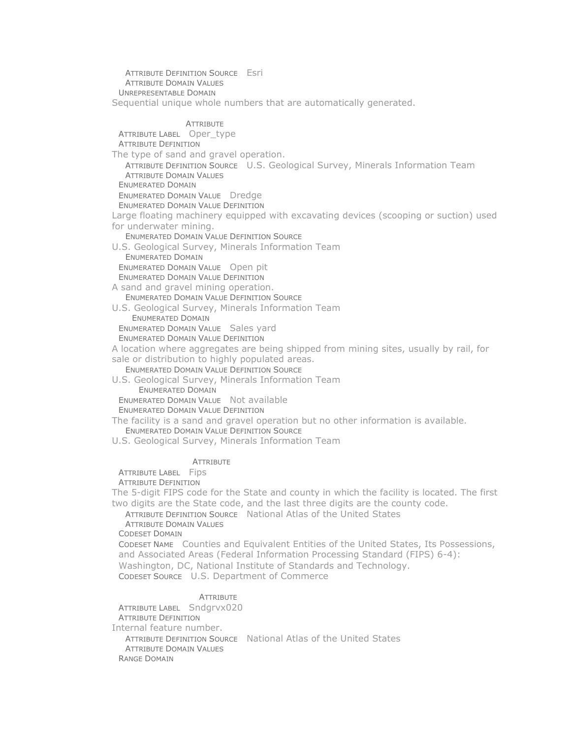ATTRIBUTE DEFINITION SOURCE Esri ATTRIBUTE DOMAIN VALUES UNREPRESENTABLE DOMAIN Sequential unique whole numbers that are automatically generated.

### **ATTRIBUTE**

ATTRIBUTE LABEL Oper\_type

ATTRIBUTE DEFINITION

The type of sand and gravel operation.

ATTRIBUTE DEFINITION SOURCE U.S. Geological Survey, Minerals Information Team ATTRIBUTE DOMAIN VALUES

ENUMERATED DOMAIN

ENUMERATED DOMAIN VALUE Dredge

ENUMERATED DOMAIN VALUE DEFINITION

Large floating machinery equipped with excavating devices (scooping or suction) used for underwater mining.

ENUMERATED DOMAIN VALUE DEFINITION SOURCE

U.S. Geological Survey, Minerals Information Team

ENUMERATED DOMAIN

ENUMERATED DOMAIN VALUE Open pit

ENUMERATED DOMAIN VALUE DEFINITION

A sand and gravel mining operation. ENUMERATED DOMAIN VALUE DEFINITION SOURCE

U.S. Geological Survey, Minerals Information Team

ENUMERATED DOMAIN

ENUMERATED DOMAIN VALUE Sales yard

ENUMERATED DOMAIN VALUE DEFINITION

A location where aggregates are being shipped from mining sites, usually by rail, for sale or distribution to highly populated areas.

ENUMERATED DOMAIN VALUE DEFINITION SOURCE

U.S. Geological Survey, Minerals Information Team ENUMERATED DOMAIN ENUMERATED DOMAIN VALUE Not available

ENUMERATED DOMAIN VALUE DEFINITION

The facility is a sand and gravel operation but no other information is available. ENUMERATED DOMAIN VALUE DEFINITION SOURCE

U.S. Geological Survey, Minerals Information Team

**ATTRIBUTE** 

ATTRIBUTE LABEL Fips ATTRIBUTE DEFINITION

The 5-digit FIPS code for the State and county in which the facility is located. The first two digits are the State code, and the last three digits are the county code.

ATTRIBUTE DEFINITION SOURCE National Atlas of the United States

ATTRIBUTE DOMAIN VALUES

CODESET DOMAIN

CODESET NAME Counties and Equivalent Entities of the United States, Its Possessions, and Associated Areas (Federal Information Processing Standard (FIPS) 6-4): Washington, DC, National Institute of Standards and Technology. CODESET SOURCE U.S. Department of Commerce

#### **ATTRIBUTE**

ATTRIBUTE LABEL Sndgrvx020 ATTRIBUTE DEFINITION Internal feature number. ATTRIBUTE DEFINITION SOURCE National Atlas of the United States **ATTRIBUTE DOMAIN VALUES** RANGE DOMAIN